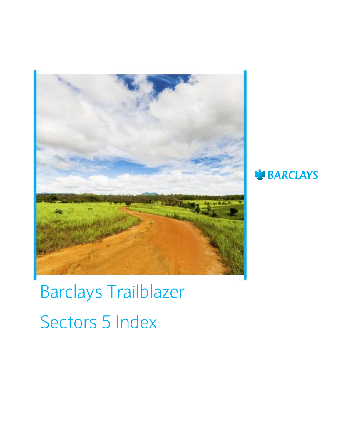



# Barclays Trailblazer Sectors 5 Index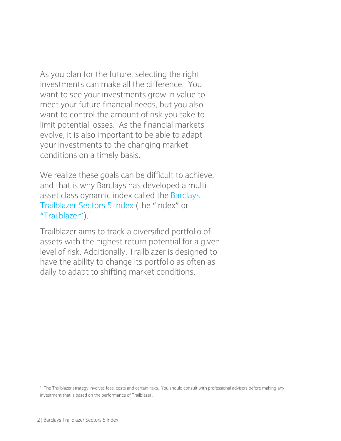As you plan for the future, selecting the right investments can make all the difference. You want to see your investments grow in value to meet your future financial needs, but you also want to control the amount of risk you take to limit potential losses. As the financial markets evolve, it is also important to be able to adapt your investments to the changing market conditions on a timely basis.

We realize these goals can be difficult to achieve, and that is why Barclays has developed a multiasset class dynamic index called the Barclays Trailblazer Sectors 5 Index (the "Index" or "Trailblazer").<sup>1</sup>

Trailblazer aims to track a diversified portfolio of assets with the highest return potential for a given level of risk. Additionally, Trailblazer is designed to have the ability to change its portfolio as often as daily to adapt to shifting market conditions.

<sup>1</sup> The Trailblazer strategy involves fees, costs and certain risks. You should consult with professional advisors before making any investment that is based on the performance of Trailblazer.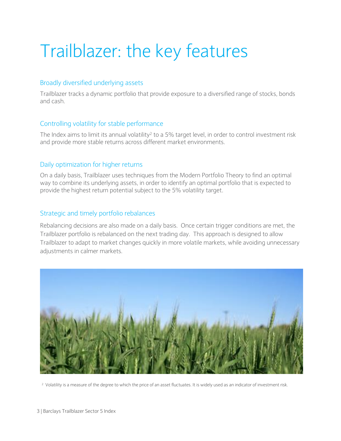## Trailblazer: the key features

#### Broadly diversified underlying assets

Trailblazer tracks a dynamic portfolio that provide exposure to a diversified range of stocks, bonds and cash.

#### Controlling volatility for stable performance

The Index aims to limit its annual volatility<sup>2</sup> to a 5% target level, in order to control investment risk and provide more stable returns across different market environments.

#### Daily optimization for higher returns

On a daily basis, Trailblazer uses techniques from the Modern Portfolio Theory to find an optimal way to combine its underlying assets, in order to identify an optimal portfolio that is expected to provide the highest return potential subject to the 5% volatility target.

#### Strategic and timely portfolio rebalances

Rebalancing decisions are also made on a daily basis. Once certain trigger conditions are met, the Trailblazer portfolio is rebalanced on the next trading day. This approach is designed to allow Trailblazer to adapt to market changes quickly in more volatile markets, while avoiding unnecessary adjustments in calmer markets.



<sup>2</sup> Volatility is a measure of the degree to which the price of an asset fluctuates. It is widely used as an indicator of investment risk.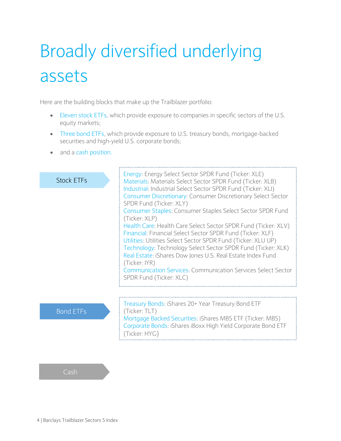## Broadly diversified underlying assets

Here are the building blocks that make up the Trailblazer portfolio:

- Eleven stock ETFs, which provide exposure to companies in specific sectors of the U.S. equity markets;
- Three bond ETFs, which provide exposure to U.S. treasury bonds, mortgage-backed securities and high-yield U.S. corporate bonds;
- and a cash position.

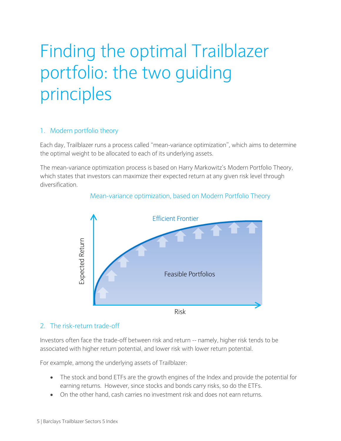## Finding the optimal Trailblazer portfolio: the two guiding principles

#### 1. Modern portfolio theory

Each day, Trailblazer runs a process called "mean-variance optimization", which aims to determine the optimal weight to be allocated to each of its underlying assets.

The mean-variance optimization process is based on Harry Markowitz's Modern Portfolio Theory, which states that investors can maximize their expected return at any given risk level through diversification.

#### Mean-variance optimization, based on Modern Portfolio Theory



#### 2. The risk-return trade-off

Investors often face the trade-off between risk and return -- namely, higher risk tends to be associated with higher return potential, and lower risk with lower return potential.

For example, among the underlying assets of Trailblazer:

- The stock and bond ETFs are the growth engines of the Index and provide the potential for earning returns. However, since stocks and bonds carry risks, so do the ETFs.
- On the other hand, cash carries no investment risk and does not earn returns.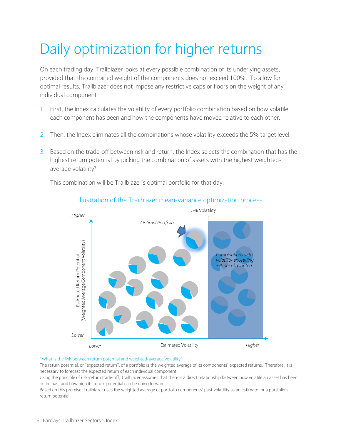### Daily optimization for higher returns

On each trading day, Trailblazer looks at every possible combination of its underlying assets, provided that the combined weight of the components does not exceed 100%. To allow for optimal results, Trailblazer does not impose any restrictive caps or floors on the weight of any individual component

- 1. First, the Index calculates the volatility of every portfolio combination based on how volatile each component has been and how the components have moved relative to each other.
- 2. Then, the Index eliminates all the combinations whose volatility exceeds the 5% target level.
- 3. Based on the trade-off between risk and return, the Index selects the combination that has the highest return potential by picking the combination of assets with the highest weightedaverage volatility<sup>3</sup> .

This combination will be Trailblazer's optimal portfolio for that day.



#### Illustration of the Trailblazer mean-variance optimization process

#### <sup>3</sup>What is the link between return potential and weighted-average volatility?

The return potential, or "expected return", of a portfolio is the weighted average of its components' expected returns. Therefore, it is necessary to forecast the expected return of each individual component.

Using the principle of risk-return trade-off, Trailblazer assumes that there is a direct relationship between how volatile an asset has been in the past and how high its return potential can be going forward.

Based on this premise, Trailblazer uses the weighted average of portfolio components' past volatility as an estimate for a portfolio's return potential.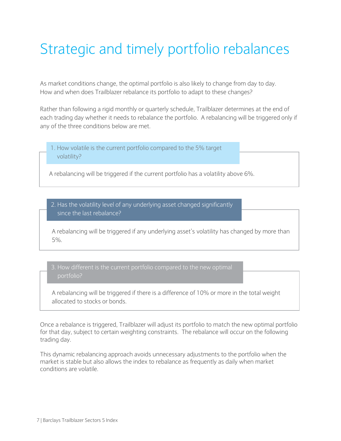### Strategic and timely portfolio rebalances

As market conditions change, the optimal portfolio is also likely to change from day to day. How and when does Trailblazer rebalance its portfolio to adapt to these changes?

Rather than following a rigid monthly or quarterly schedule, Trailblazer determines at the end of each trading day whether it needs to rebalance the portfolio. A rebalancing will be triggered only if any of the three conditions below are met.

1. How volatile is the current portfolio compared to the 5% target volatility?

A rebalancing will be triggered if the current portfolio has a volatility above 6%.

2. Has the volatility level of any underlying asset changed significantly since the last rebalance?

A rebalancing will be triggered if any underlying asset's volatility has changed by more than 5%.

3. How different is the current portfolio compared to the new optimal

A rebalancing will be triggered if there is a difference of 10% or more in the total weight allocated to stocks or bonds.

Once a rebalance is triggered, Trailblazer will adjust its portfolio to match the new optimal portfolio for that day, subject to certain weighting constraints. The rebalance will occur on the following trading day.

This dynamic rebalancing approach avoids unnecessary adjustments to the portfolio when the market is stable but also allows the index to rebalance as frequently as daily when market conditions are volatile.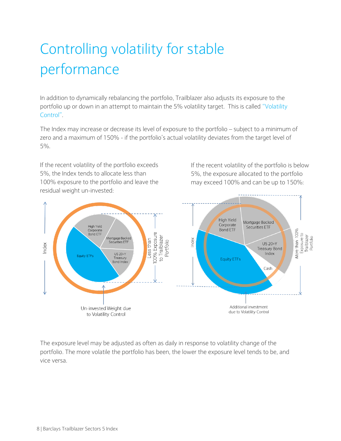## Controlling volatility for stable performance

In addition to dynamically rebalancing the portfolio, Trailblazer also adjusts its exposure to the portfolio up or down in an attempt to maintain the 5% volatility target. This is called "Volatility Control".

The Index may increase or decrease its level of exposure to the portfolio – subject to a minimum of zero and a maximum of 150% - if the portfolio's actual volatility deviates from the target level of 5%.

If the recent volatility of the portfolio exceeds 5%, the Index tends to allocate less than 100% exposure to the portfolio and leave the residual weight un-invested:

If the recent volatility of the portfolio is below 5%, the exposure allocated to the portfolio may exceed 100% and can be up to 150%:



The exposure level may be adjusted as often as daily in response to volatility change of the portfolio. The more volatile the portfolio has been, the lower the exposure level tends to be, and vice versa.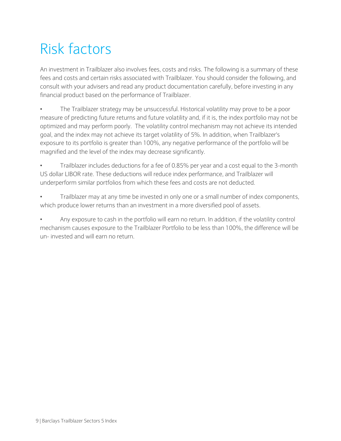### Risk factors

An investment in Trailblazer also involves fees, costs and risks. The following is a summary of these fees and costs and certain risks associated with Trailblazer. You should consider the following, and consult with your advisers and read any product documentation carefully, before investing in any financial product based on the performance of Trailblazer.

• The Trailblazer strategy may be unsuccessful. Historical volatility may prove to be a poor measure of predicting future returns and future volatility and, if it is, the index portfolio may not be optimized and may perform poorly. The volatility control mechanism may not achieve its intended goal, and the index may not achieve its target volatility of 5%. In addition, when Trailblazer's exposure to its portfolio is greater than 100%, any negative performance of the portfolio will be magnified and the level of the index may decrease significantly.

• Trailblazer includes deductions for a fee of 0.85% per year and a cost equal to the 3-month US dollar LIBOR rate. These deductions will reduce index performance, and Trailblazer will underperform similar portfolios from which these fees and costs are not deducted.

• Trailblazer may at any time be invested in only one or a small number of index components, which produce lower returns than an investment in a more diversified pool of assets.

• Any exposure to cash in the portfolio will earn no return. In addition, if the volatility control mechanism causes exposure to the Trailblazer Portfolio to be less than 100%, the difference will be un- invested and will earn no return.